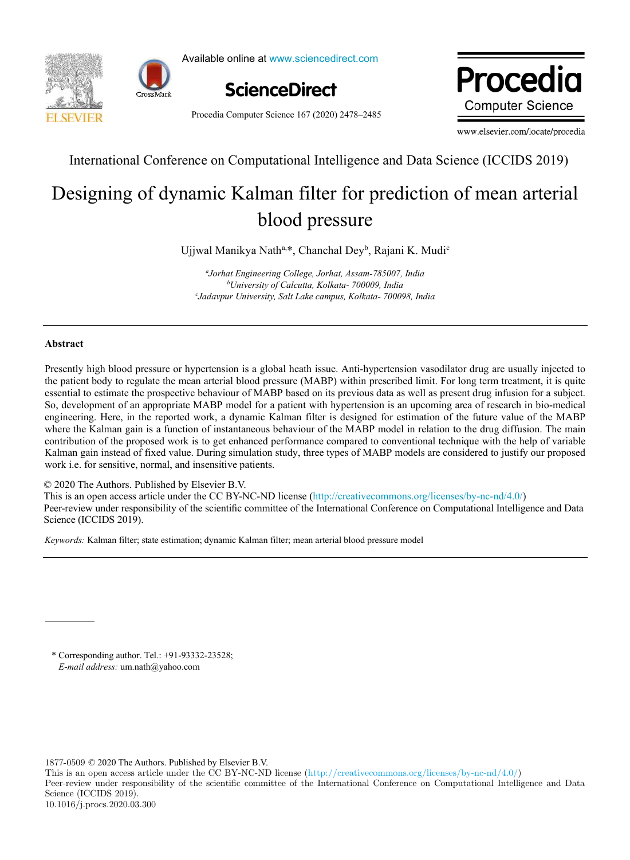



Available online at www.sciencedirect.com



Procedia Computer Science 167 (2020) 2478–2485

Procedia **Computer Science** 

www.elsevier.com/locate/procedia

International Conference on Computational Intelligence and Data Science (ICCIDS 2019)

# Designing of dynamic Kalman filter for prediction of mean arterial blood pressure

Ujjwal Manikya Nath<sup>a,\*</sup>, Chanchal Dey<sup>b</sup>, Rajani K. Mudi<sup>c</sup>

*a Jorhat Engineering College, Jorhat, Assam-785007, India <sup>b</sup>University of Calcutta, Kolkata- 700009, India c Jadavpur University, Salt Lake campus, Kolkata- 700098, India* 

## Abstract

Presently high blood pressure or hypertension is a global heath issue. Anti-hypertension vasodilator drug are usually injected to the patient body to regulate the mean arterial blood pressure (MABP) within prescribed limit. For long term treatment, it is quite essential to estimate the prospective behaviour of MABP based on its previous data as well as present drug infusion for a subject. So, development of an appropriate MABP model for a patient with hypertension is an upcoming area of research in bio-medical engineering. Here, in the reported work, a dynamic Kalman filter is designed for estimation of the future value of the MABP where the Kalman gain is a function of instantaneous behaviour of the MABP model in relation to the drug diffusion. The main contribution of the proposed work is to get enhanced performance compared to conventional technique with the help of variable Kalman gain instead of fixed value. During simulation study, three types of MABP models are considered to justify our proposed work i.e. for sensitive, normal, and insensitive patients.

## © 2020 The Authors. Published by Elsevier B.V.

This is an open access article under the CC BY-NC-ND license (http://creativecommons.org/licenses/by-nc-nd/4.0/) Peer-review under responsibility of the scientific committee of the International Conference on Computational Intelligence and Data Science (ICCIDS 2019).

*Keywords:* Kalman filter; state estimation; dynamic Kalman filter; mean arterial blood pressure model

\* Corresponding author. Tel.: +91-93332-23528; *E-mail address:* um.nath@yahoo.com

1877-0509 © 2020 The Authors. Published by Elsevier B.V.

This is an open access article under the CC BY-NC-ND license (http://creativecommons.org/licenses/by-nc-nd/4.0/) Peer-review under responsibility of the scientific committee of the International Conference on Computational Intelligence and Data Science (ICCIDS 2019). 10.1016/j.procs.2020.03.300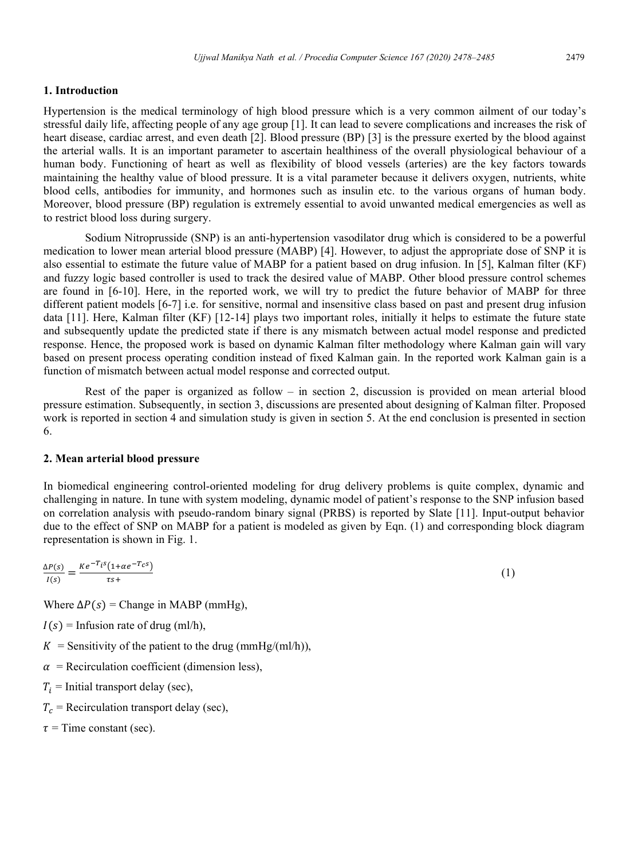# 1. Introduction

Hypertension is the medical terminology of high blood pressure which is a very common ailment of our today's stressful daily life, affecting people of any age group [1]. It can lead to severe complications and increases the risk of heart disease, cardiac arrest, and even death [2]. Blood pressure (BP) [3] is the pressure exerted by the blood against the arterial walls. It is an important parameter to ascertain healthiness of the overall physiological behaviour of a human body. Functioning of heart as well as flexibility of blood vessels (arteries) are the key factors towards maintaining the healthy value of blood pressure. It is a vital parameter because it delivers oxygen, nutrients, white blood cells, antibodies for immunity, and hormones such as insulin etc. to the various organs of human body. Moreover, blood pressure (BP) regulation is extremely essential to avoid unwanted medical emergencies as well as to restrict blood loss during surgery.

Sodium Nitroprusside (SNP) is an anti-hypertension vasodilator drug which is considered to be a powerful medication to lower mean arterial blood pressure (MABP) [4]. However, to adjust the appropriate dose of SNP it is also essential to estimate the future value of MABP for a patient based on drug infusion. In [5], Kalman filter (KF) and fuzzy logic based controller is used to track the desired value of MABP. Other blood pressure control schemes are found in [6-10]. Here, in the reported work, we will try to predict the future behavior of MABP for three different patient models [6-7] i.e. for sensitive, normal and insensitive class based on past and present drug infusion data [11]. Here, Kalman filter (KF) [12-14] plays two important roles, initially it helps to estimate the future state and subsequently update the predicted state if there is any mismatch between actual model response and predicted response. Hence, the proposed work is based on dynamic Kalman filter methodology where Kalman gain will vary based on present process operating condition instead of fixed Kalman gain. In the reported work Kalman gain is a function of mismatch between actual model response and corrected output.

Rest of the paper is organized as follow – in section 2, discussion is provided on mean arterial blood pressure estimation. Subsequently, in section 3, discussions are presented about designing of Kalman filter. Proposed work is reported in section 4 and simulation study is given in section 5. At the end conclusion is presented in section 6.

# 2. Mean arterial blood pressure

In biomedical engineering control-oriented modeling for drug delivery problems is quite complex, dynamic and challenging in nature. In tune with system modeling, dynamic model of patient's response to the SNP infusion based on correlation analysis with pseudo-random binary signal (PRBS) is reported by Slate [11]. Input-output behavior due to the effect of SNP on MABP for a patient is modeled as given by Eqn. (1) and corresponding block diagram representation is shown in Fig. 1.

$$
\frac{\Delta P(s)}{I(s)} = \frac{Ke^{-T_i s}(1 + \alpha e^{-T_c s})}{\tau s +}
$$
 (1)

Where  $\Delta P(s)$  = Change in MABP (mmHg),

- $I(s)$  = Infusion rate of drug (ml/h),
- $K =$  Sensitivity of the patient to the drug (mmHg/(ml/h)),
- $\alpha$  = Recirculation coefficient (dimension less),
- $T_i$  = Initial transport delay (sec),
- $T_c$  = Recirculation transport delay (sec),
- $\tau$  = Time constant (sec).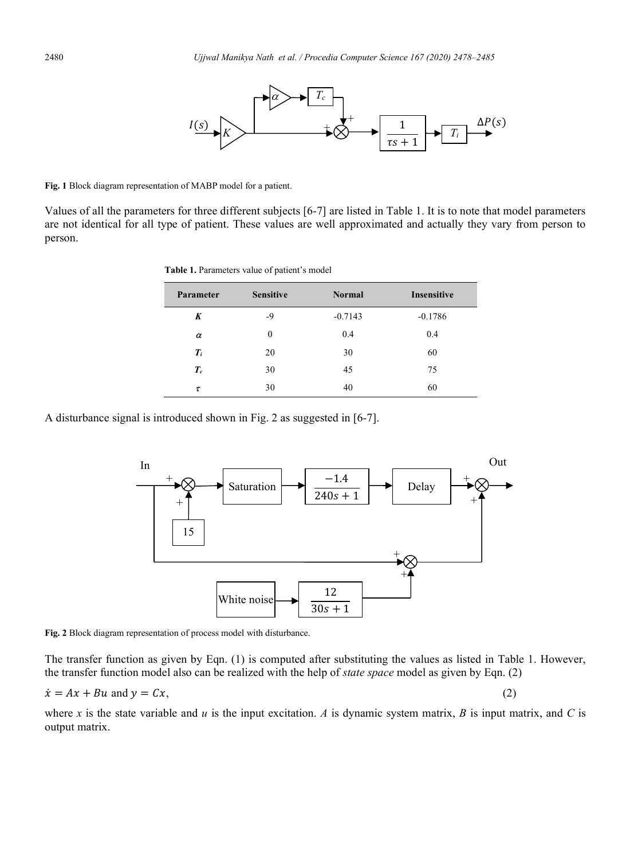

Fig. 1 Block diagram representation of MABP model for a patient.

Values of all the parameters for three different subjects [6-7] are listed in Table 1. It is to note that model parameters are not identical for all type of patient. These values are well approximated and actually they vary from person to person.

| Table 1. Parameters value of patient's model |  |  |  |
|----------------------------------------------|--|--|--|
|----------------------------------------------|--|--|--|

| Parameter | <b>Sensitive</b> | <b>Normal</b> | <b>Insensitive</b> |
|-----------|------------------|---------------|--------------------|
| K         | -9               | $-0.7143$     | $-0.1786$          |
| $\alpha$  | $\theta$         | 0.4           | 0.4                |
| $T_i$     | 20               | 30            | 60                 |
| $T_c$     | 30               | 45            | 75                 |
| τ         | 30               | 40            | 60                 |

A disturbance signal is introduced shown in Fig. 2 as suggested in [6-7].



Fig. 2 Block diagram representation of process model with disturbance.

The transfer function as given by Eqn. (1) is computed after substituting the values as listed in Table 1. However, the transfer function model also can be realized with the help of state space model as given by Eqn. (2)

$$
\dot{x} = Ax + Bu
$$
 and  $y = Cx$ 

where x is the state variable and u is the input excitation. A is dynamic system matrix, B is input matrix, and C is output matrix.

 $(2)$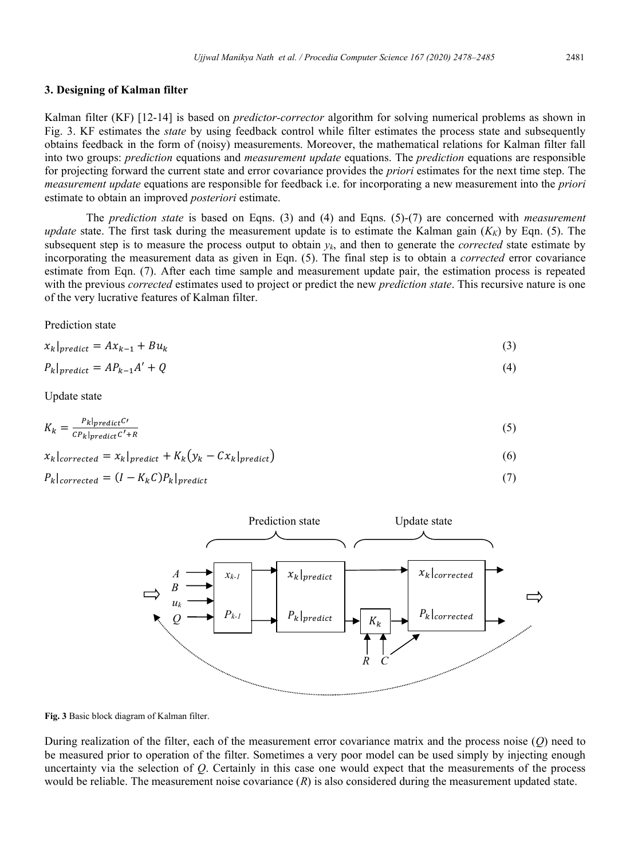#### 3. Designing of Kalman filter

Kalman filter (KF) [12-14] is based on *predictor-corrector* algorithm for solving numerical problems as shown in Fig. 3. KF estimates the *state* by using feedback control while filter estimates the process state and subsequently obtains feedback in the form of (noisy) measurements. Moreover, the mathematical relations for Kalman filter fall into two groups: *prediction* equations and *measurement update* equations. The *prediction* equations are responsible for projecting forward the current state and error covariance provides the *priori* estimates for the next time step. The *measurement update* equations are responsible for feedback i.e. for incorporating a new measurement into the *priori* estimate to obtain an improved *posteriori* estimate.

The *prediction state* is based on Eqns. (3) and (4) and Eqns.  $(5)-(7)$  are concerned with *measurement update* state. The first task during the measurement update is to estimate the Kalman gain  $(K_K)$  by Eqn. (5). The subsequent step is to measure the process output to obtain  $y_k$ , and then to generate the *corrected* state estimate by incorporating the measurement data as given in Eqn. (5). The final step is to obtain a *corrected* error covariance estimate from Eqn. (7). After each time sample and measurement update pair, the estimation process is repeated with the previous *corrected* estimates used to project or predict the new *prediction state*. This recursive nature is one of the very lucrative features of Kalman filter.

Prediction state

$$
x_k|_{predict} = Ax_{k-1} + Bu_k
$$
\n(3)

$$
P_k|_{predict} = AP_{k-1}A' + Q
$$
\n<sup>(4)</sup>

Update state

$$
K_k = \frac{P_k|predict^C}{CP_k|predict^C + R}
$$
 (5)

$$
x_k|_{corrected} = x_k|_{predict} + K_k(y_k - Cx_k|_{predict})
$$
\n
$$
(6)
$$

 $P_k|_{corrected} = (I - K_k C)P_k|_{predict}$ 



Fig. 3 Basic block diagram of Kalman filter.

During realization of the filter, each of the measurement error covariance matrix and the process noise  $(O)$  need to be measured prior to operation of the filter. Sometimes a very poor model can be used simply by injecting enough uncertainty via the selection of Q. Certainly in this case one would expect that the measurements of the process would be reliable. The measurement noise covariance  $(R)$  is also considered during the measurement updated state.

 $(7)$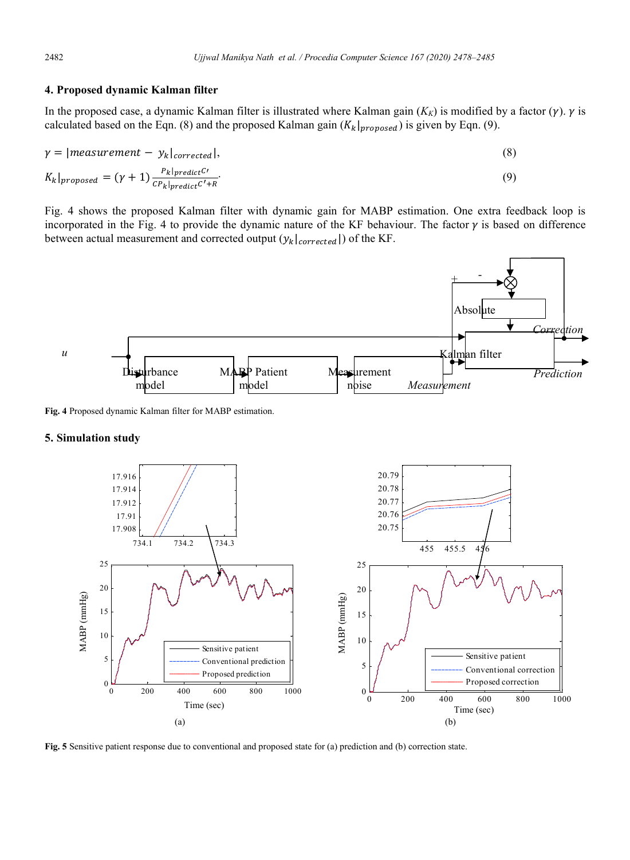## 4. Proposed dynamic Kalman filter

In the proposed case, a dynamic Kalman filter is illustrated where Kalman gain  $(K_K)$  is modified by a factor  $(\gamma)$ .  $\gamma$  is calculated based on the Eqn. (8) and the proposed Kalman gain  $(K_k|_{proposed})$  is given by Eqn. (9).

$$
\gamma = |measurement - y_k|_{corrected}|,
$$
\n(8)

$$
K_k|_{proposed} = (\gamma + 1) \frac{P_k|_{predict}^{C}}{CP_k|_{predict}^{C'} + R}.
$$
\n(9)

Fig. 4 shows the proposed Kalman filter with dynamic gain for MABP estimation. One extra feedback loop is incorporated in the Fig. 4 to provide the dynamic nature of the KF behaviour. The factor  $\gamma$  is based on difference between actual measurement and corrected output  $(y_k|_{corrected}|)$  of the KF.



Fig. 4 Proposed dynamic Kalman filter for MABP estimation.

## 5. Simulation study



Fig. 5 Sensitive patient response due to conventional and proposed state for (a) prediction and (b) correction state.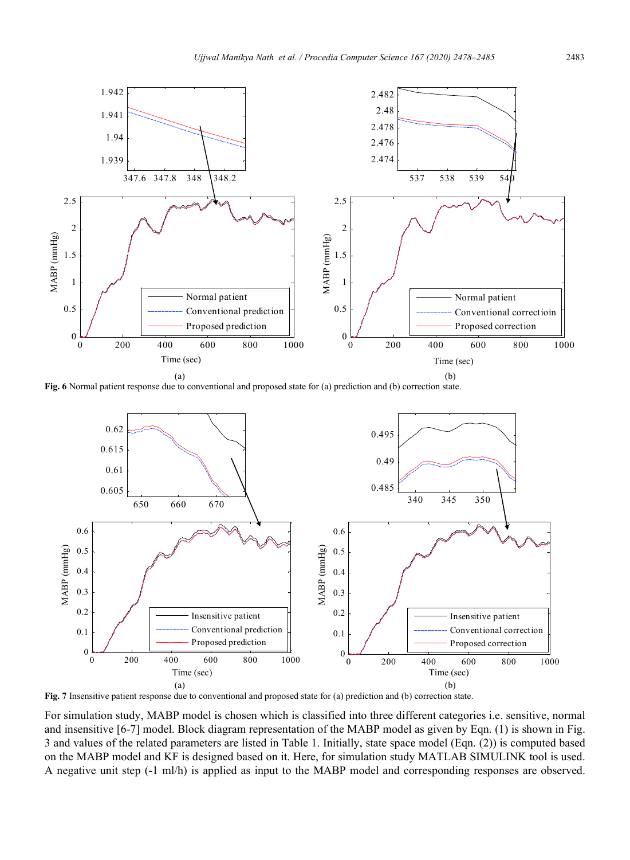

Fig. 6 Normal patient response due to conventional and proposed state for (a) prediction and (b) correction state.



Fig. 7 Insensitive patient response due to conventional and proposed state for (a) prediction and (b) correction state.

For simulation study, MABP model is chosen which is classified into three different categories i.e. sensitive, normal and insensitive [6-7] model. Block diagram representation of the MABP model as given by Eqn. (1) is shown in Fig. 3 and values of the related parameters are listed in Table 1. Initially, state space model (Eqn. (2)) is computed based on the MABP model and KF is designed based on it. Here, for simulation study MATLAB SIMULINK tool is used. A negative unit step (-1 ml/h) is applied as input to the MABP model and corresponding responses are observed.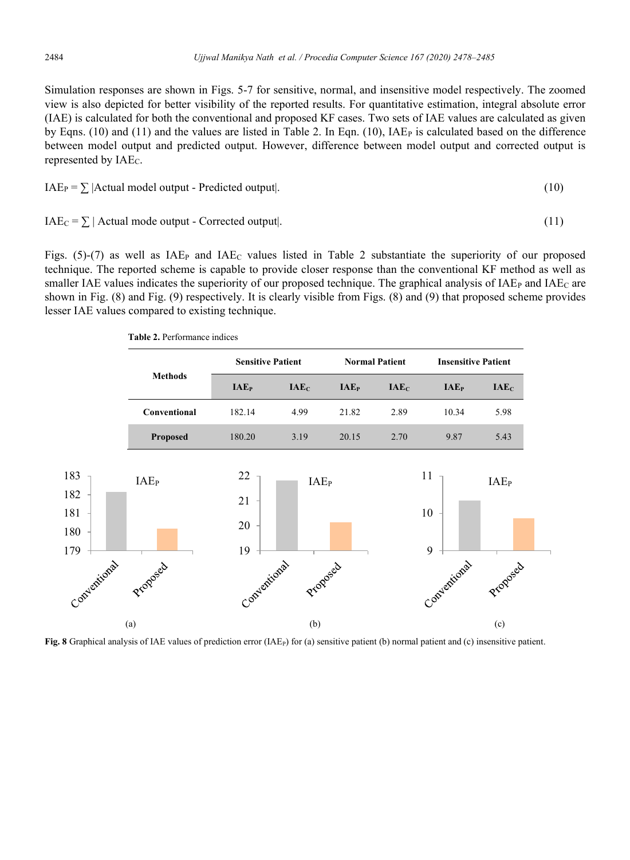Simulation responses are shown in Figs. 5-7 for sensitive, normal, and insensitive model respectively. The zoomed view is also depicted for better visibility of the reported results. For quantitative estimation, integral absolute error (IAE) is calculated for both the conventional and proposed KF cases. Two sets of IAE values are calculated as given by Eqns. (10) and (11) and the values are listed in Table 2. In Eqn. (10),  $IAE<sub>P</sub>$  is calculated based on the difference between model output and predicted output. However, difference between model output and corrected output is represented by  $IAE<sub>C</sub>$ .

$$
IAE_P = \sum |Actual \ model \ output - Predicted \ output |.
$$
 (10)

$$
IAEC = \sum |Actual mode output - Corrected output|.
$$
 (11)

Figs.  $(5)-(7)$  as well as IAE<sub>P</sub> and IAE<sub>C</sub> values listed in Table 2 substantiate the superiority of our proposed technique. The reported scheme is capable to provide closer response than the conventional KF method as well as smaller IAE values indicates the superiority of our proposed technique. The graphical analysis of IAE<sub>P</sub> and IAE<sub>C</sub> are shown in Fig. (8) and Fig. (9) respectively. It is clearly visible from Figs. (8) and (9) that proposed scheme provides lesser IAE values compared to existing technique.

Table 2. Performance indices

|                                 | <b>Methods</b>   | <b>Sensitive Patient</b> |                  |                         | <b>Normal Patient</b> |                  | <b>Insensitive Patient</b> |  |
|---------------------------------|------------------|--------------------------|------------------|-------------------------|-----------------------|------------------|----------------------------|--|
|                                 |                  | <b>IAE</b> <sub>P</sub>  | IAE <sub>C</sub> | <b>IAE</b> <sub>P</sub> | IAE <sub>C</sub>      | IAE <sub>P</sub> | IAE <sub>C</sub>           |  |
|                                 | Conventional     | 182.14                   | 4.99             | 21.82                   | 2.89                  | 10.34            | 5.98                       |  |
|                                 | Proposed         | 180.20                   | 3.19             | 20.15                   | 2.70                  | 9.87             | 5.43                       |  |
| 183<br>182<br>181<br>180<br>179 | IAE <sub>P</sub> | 22<br>21<br>20<br>19     | IAE <sub>P</sub> |                         |                       | 11<br>10<br>9    | IAE <sub>P</sub>           |  |
| Conventional                    | Proposed         | Conventional             | Proposad         |                         |                       | Conventional     | Proposed                   |  |
|                                 | (a)              |                          | (b)              |                         |                       |                  | (c)                        |  |

Fig. 8 Graphical analysis of IAE values of prediction error (IAE<sub>P</sub>) for (a) sensitive patient (b) normal patient and (c) insensitive patient.